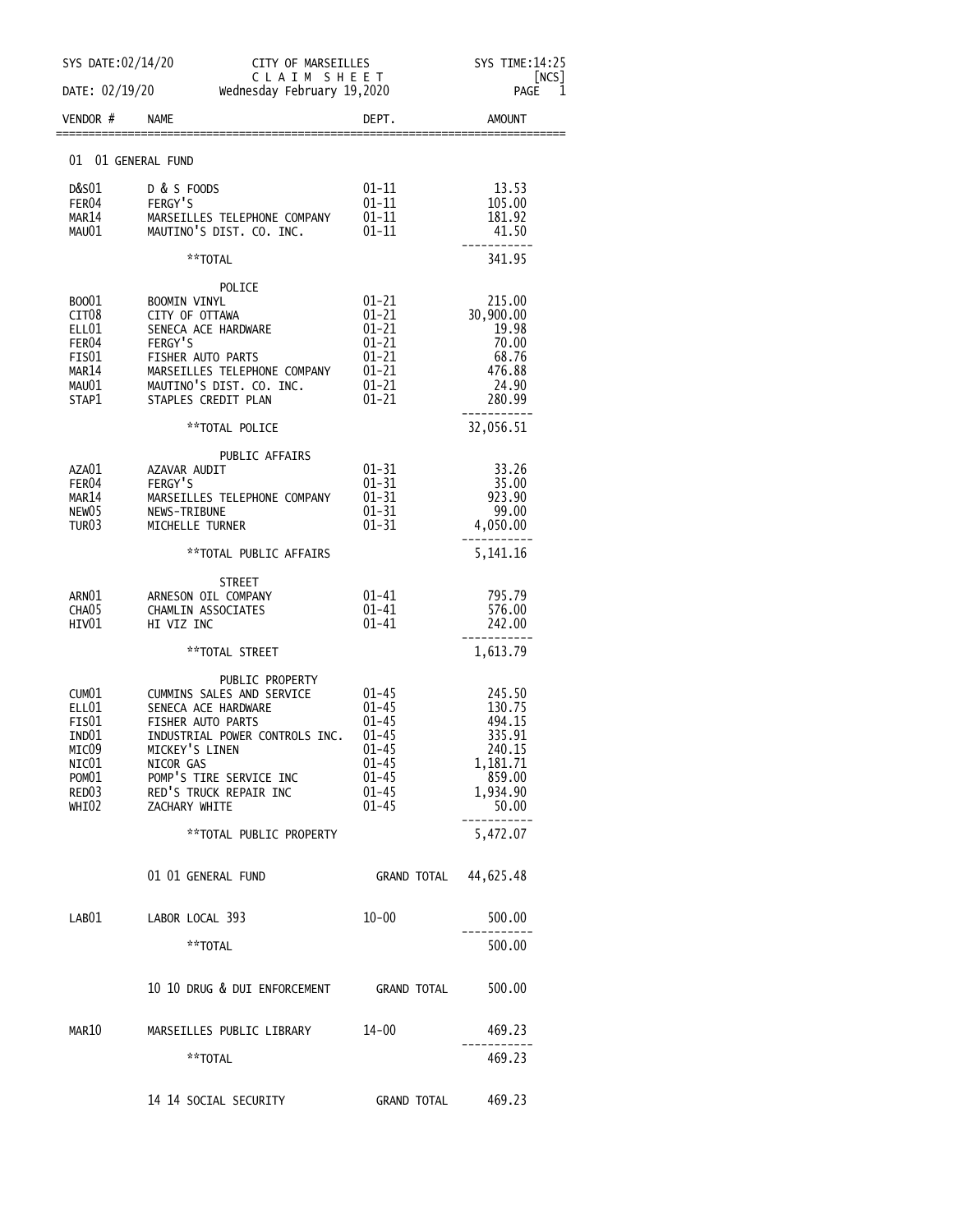| SYS DATE:02/14/20                                                                            | CITY OF MARSEILLES                                                                                                                                                                                                              |                                                                                                           | SYS TIME:14:25                                                                            |
|----------------------------------------------------------------------------------------------|---------------------------------------------------------------------------------------------------------------------------------------------------------------------------------------------------------------------------------|-----------------------------------------------------------------------------------------------------------|-------------------------------------------------------------------------------------------|
| DATE: 02/19/20                                                                               | CLAIM SHEET<br>Wednesday February 19,2020                                                                                                                                                                                       |                                                                                                           | [NCS]<br>1<br>PAGE                                                                        |
| VENDOR#                                                                                      | <b>NAME</b>                                                                                                                                                                                                                     | DEPT.                                                                                                     | <b>AMOUNT</b>                                                                             |
| 01 01 GENERAL FUND                                                                           |                                                                                                                                                                                                                                 |                                                                                                           |                                                                                           |
| D&S01<br>FER04<br>MAR14<br>MAU01                                                             | D & S FOODS<br>FERGY'S<br>MARSEILLES TELEPHONE COMPANY<br>MAUTINO'S DIST. CO. INC.                                                                                                                                              | $01 - 11$<br>$01 - 11$<br>$01 - 11$<br>$01 - 11$                                                          | 13.53<br>105.00<br>181.92<br>41.50                                                        |
|                                                                                              | **TOTAL                                                                                                                                                                                                                         |                                                                                                           | 341.95                                                                                    |
| B0001<br>CIT <sub>08</sub><br>ELL01<br>FER <sub>04</sub><br>FIS01<br>MAR14<br>MAU01<br>STAP1 | POLICE<br><b>BOOMIN VINYL</b><br>CITY OF OTTAWA<br>SENECA ACE HARDWARE<br>FERGY'S<br>FISHER AUTO PARTS<br>MARSEILLES TELEPHONE COMPANY<br>MAUTINO'S DIST. CO. INC.<br>STAPLES CREDIT PLAN                                       | $01 - 21$<br>$01 - 21$<br>$01 - 21$<br>$01 - 21$<br>$01 - 21$<br>$01 - 21$<br>$01 - 21$<br>$01 - 21$      | 215.00<br>30,900.00<br>19.98<br>70.00<br>68.76<br>476.88<br>24.90<br>280.99               |
|                                                                                              | **TOTAL POLICE                                                                                                                                                                                                                  |                                                                                                           | 32,056.51                                                                                 |
| AZA01<br>FER <sub>04</sub><br>MAR14<br>NEW05<br>TUR <sub>03</sub>                            | PUBLIC AFFAIRS<br>AZAVAR AUDIT<br>FERGY'S<br>MARSEILLES TELEPHONE COMPANY<br>NEWS-TRIBUNE<br>MICHELLE TURNER                                                                                                                    | $01 - 31$<br>$01 - 31$<br>$01 - 31$<br>$01 - 31$<br>$01 - 31$                                             | 33.26<br>35.00<br>923.90<br>99.00<br>4,050.00                                             |
|                                                                                              | **TOTAL PUBLIC AFFAIRS                                                                                                                                                                                                          |                                                                                                           | 5,141.16                                                                                  |
| ARN01<br>CHA <sub>05</sub><br>HIV01                                                          | <b>STREET</b><br>ARNESON OIL COMPANY<br>CHAMLIN ASSOCIATES<br>HI VIZ INC                                                                                                                                                        | 01-41<br>$01 - 41$<br>01-41                                                                               | 795.79<br>576.00<br>242.00                                                                |
|                                                                                              | **TOTAL STREET                                                                                                                                                                                                                  |                                                                                                           | 1,613.79                                                                                  |
| CUM01<br>ELL01<br>FIS01<br>IND01<br>MICO9<br>NIC $01$<br>POM01<br>RED03<br>WHI02             | PUBLIC PROPERTY<br>CUMMINS SALES AND SERVICE<br>SENECA ACE HARDWARE<br>FISHER AUTO PARTS<br>INDUSTRIAL POWER CONTROLS INC.<br>MICKEY'S LINEN<br>NICOR GAS<br>POMP'S TIRE SERVICE INC<br>RED'S TRUCK REPAIR INC<br>ZACHARY WHITE | $01 - 45$<br>$01 - 45$<br>$01 - 45$<br>$01 - 45$<br>01-45<br>01–45<br>$01 - 45$<br>$01 - 45$<br>$01 - 45$ | 245.50<br>130.75<br>494.15<br>335.91<br>240.15<br>1,181.71<br>859.00<br>1,934.90<br>50.00 |
|                                                                                              | **TOTAL PUBLIC PROPERTY                                                                                                                                                                                                         |                                                                                                           | 5,472.07                                                                                  |
|                                                                                              | 01 01 GENERAL FUND                                                                                                                                                                                                              | GRAND TOTAL 44,625.48                                                                                     |                                                                                           |
| LAB01                                                                                        | LABOR LOCAL 393                                                                                                                                                                                                                 | $10 - 00$                                                                                                 | 500.00                                                                                    |
|                                                                                              | **TOTAL                                                                                                                                                                                                                         |                                                                                                           | 500.00                                                                                    |
|                                                                                              | 10 10 DRUG & DUI ENFORCEMENT GRAND TOTAL                                                                                                                                                                                        |                                                                                                           | 500.00                                                                                    |
| MAR10                                                                                        | MARSEILLES PUBLIC LIBRARY                                                                                                                                                                                                       | 14-00                                                                                                     | 469.23                                                                                    |
|                                                                                              | **TOTAL                                                                                                                                                                                                                         |                                                                                                           | 469.23                                                                                    |
|                                                                                              |                                                                                                                                                                                                                                 | <b>GRAND TOTAL</b>                                                                                        | 469.23                                                                                    |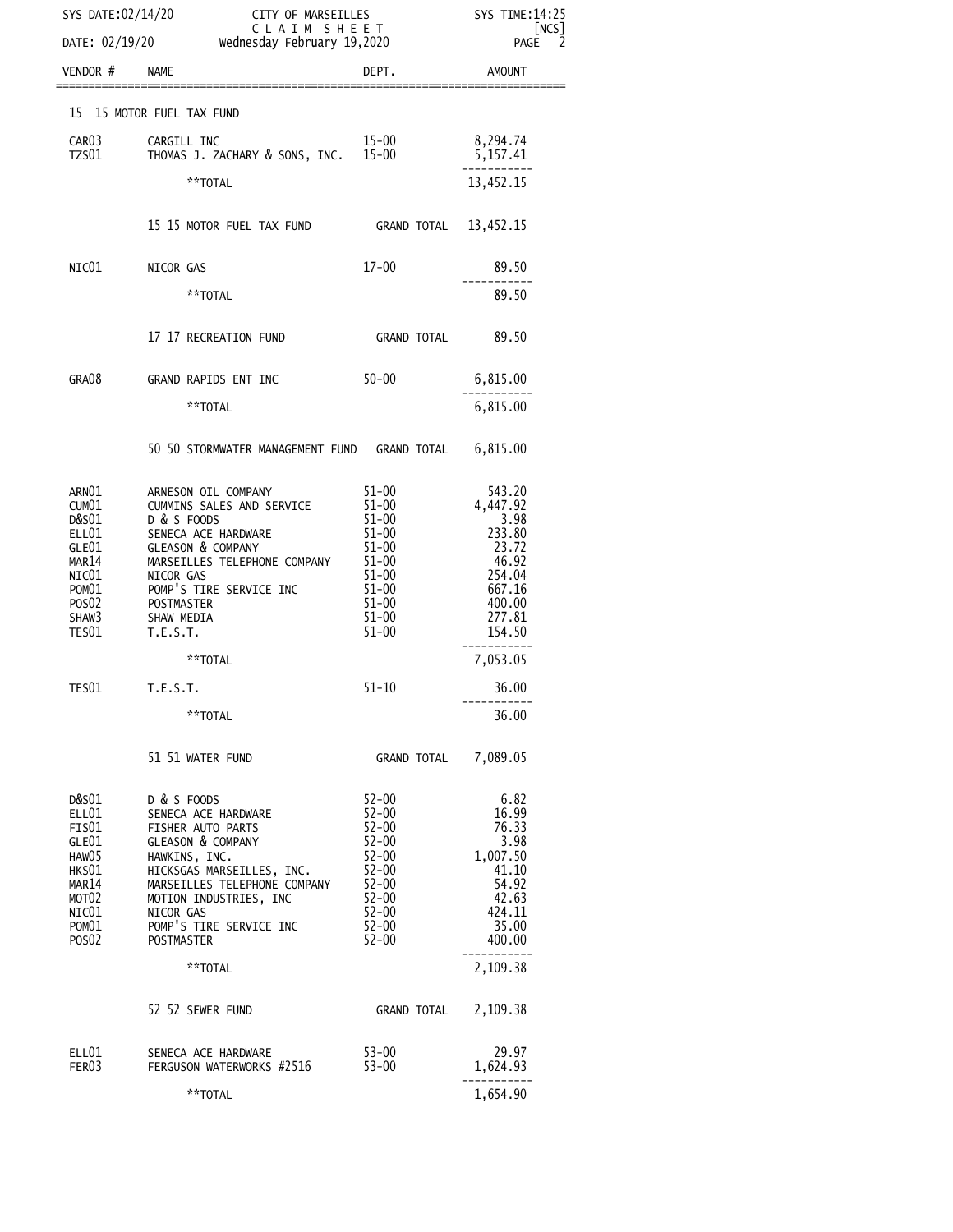| SYS DATE:02/14/20                                                                                     |                          | CITY OF MARSEILLES<br>C L A I M S H E E T<br>DATE: 02/19/20 wednesday February 19,2020                                                                                                                      |                                                                                                                                | SYS TIME:14:25<br> NCS                                                                   |
|-------------------------------------------------------------------------------------------------------|--------------------------|-------------------------------------------------------------------------------------------------------------------------------------------------------------------------------------------------------------|--------------------------------------------------------------------------------------------------------------------------------|------------------------------------------------------------------------------------------|
|                                                                                                       |                          |                                                                                                                                                                                                             |                                                                                                                                | 2<br><b>PAGE</b>                                                                         |
| VENDOR # NAME                                                                                         |                          |                                                                                                                                                                                                             | DEPT.                                                                                                                          | AMOUNT                                                                                   |
| 15 15 MOTOR FUEL TAX FUND                                                                             |                          |                                                                                                                                                                                                             |                                                                                                                                |                                                                                          |
| CAR03<br>TZS01                                                                                        | CARGILL INC              | THOMAS J. ZACHARY & SONS, INC. 15-00                                                                                                                                                                        | 15-00                                                                                                                          | 8,294.74<br>5,157.41                                                                     |
|                                                                                                       |                          | **TOTAL                                                                                                                                                                                                     |                                                                                                                                | 13,452.15                                                                                |
|                                                                                                       |                          | 15 15 MOTOR FUEL TAX FUND                                                                                                                                                                                   | <b>GRAND TOTAL</b>                                                                                                             | 13,452.15                                                                                |
| NIC01                                                                                                 | NICOR GAS                |                                                                                                                                                                                                             | $17 - 00$                                                                                                                      | 89.50                                                                                    |
|                                                                                                       |                          | **TOTAL                                                                                                                                                                                                     |                                                                                                                                | 89.50                                                                                    |
|                                                                                                       |                          | 17 17 RECREATION FUND                                                                                                                                                                                       | GRAND TOTAL                                                                                                                    | 89.50                                                                                    |
| GRA08                                                                                                 |                          | GRAND RAPIDS ENT INC                                                                                                                                                                                        | $50 - 00$                                                                                                                      | 6,815.00                                                                                 |
|                                                                                                       |                          | **TOTAL                                                                                                                                                                                                     |                                                                                                                                | 6,815.00                                                                                 |
|                                                                                                       |                          | 50 50 STORMWATER MANAGEMENT FUND GRAND TOTAL 6,815.00                                                                                                                                                       |                                                                                                                                |                                                                                          |
| ARN01<br>CUM01<br>D&S01                                                                               | D & S FOODS              | ARNESON OIL COMPANY<br>CUMMINS SALES AND SERVICE                                                                                                                                                            | $51 - 00$<br>$51 - 00$<br>$51 - 00$                                                                                            | 543.20<br>4,447.92<br>3.98                                                               |
| ELL01<br>GLE01<br>MAR14<br>NICO1                                                                      |                          | SENECA ACE HARDWARE<br><b>GLEASON &amp; COMPANY</b><br>MARSEILLES TELEPHONE COMPANY                                                                                                                         | $51 - 00$<br>$51 - 00$<br>51–00<br>$51 - 00$                                                                                   | 233.80<br>23.72<br>46.92<br>254.04                                                       |
| POM01<br>POS <sub>02</sub><br>SHAW3                                                                   | POSTMASTER<br>SHAW MEDIA | NICOR GAS<br>POMP'S TIRE SERVICE INC                                                                                                                                                                        | 51-00<br>$51 - 00$<br>$51 - 00$                                                                                                | 667.16<br>400.00<br>277.81                                                               |
| TES01                                                                                                 | T.E.S.T.                 | **TOTAL                                                                                                                                                                                                     | $51 - 00$                                                                                                                      | 154.50<br>7,053.05                                                                       |
| TES01                                                                                                 | <b>T.E.S.T.</b>          |                                                                                                                                                                                                             | $51 - 10$                                                                                                                      | 36.00                                                                                    |
|                                                                                                       |                          | **TOTAL                                                                                                                                                                                                     |                                                                                                                                | 36.00                                                                                    |
|                                                                                                       |                          | 51 51 WATER FUND                                                                                                                                                                                            | GRAND TOTAL                                                                                                                    | 7,089.05                                                                                 |
| D&S01<br>ELL01<br>FIS01<br>GLE01<br>HAW05<br>HKS01<br>MAR <sub>14</sub><br>MOT02<br>NIC $01$<br>POM01 | D & S FOODS<br>NICOR GAS | SENECA ACE HARDWARE<br>FISHER AUTO PARTS<br><b>GLEASON &amp; COMPANY</b><br>HAWKINS, INC.<br>HICKSGAS MARSEILLES, INC.<br>MARSEILLES TELEPHONE COMPANY<br>MOTION INDUSTRIES, INC<br>POMP'S TIRE SERVICE INC | $52 - 00$<br>$52 - 00$<br>$52 - 00$<br>$52 - 00$<br>$52 - 00$<br>$52 - 00$<br>$52 - 00$<br>$52 - 00$<br>$52 - 00$<br>$52 - 00$ | 6.82<br>16.99<br>76.33<br>3.98<br>1,007.50<br>41.10<br>54.92<br>42.63<br>424.11<br>35.00 |
| POS <sub>02</sub>                                                                                     | <b>POSTMASTER</b>        | **TOTAL                                                                                                                                                                                                     | $52 - 00$                                                                                                                      | 400.00                                                                                   |
|                                                                                                       |                          |                                                                                                                                                                                                             |                                                                                                                                | 2,109.38                                                                                 |
|                                                                                                       |                          | 52 52 SEWER FUND                                                                                                                                                                                            | <b>GRAND TOTAL</b>                                                                                                             | 2,109.38                                                                                 |
| ELL01<br>FER03                                                                                        |                          | SENECA ACE HARDWARE<br>FERGUSON WATERWORKS #2516                                                                                                                                                            | $53 - 00$<br>$53 - 00$                                                                                                         | 29.97<br>1,624.93                                                                        |
|                                                                                                       |                          | **TOTAL                                                                                                                                                                                                     |                                                                                                                                | 1,654.90                                                                                 |